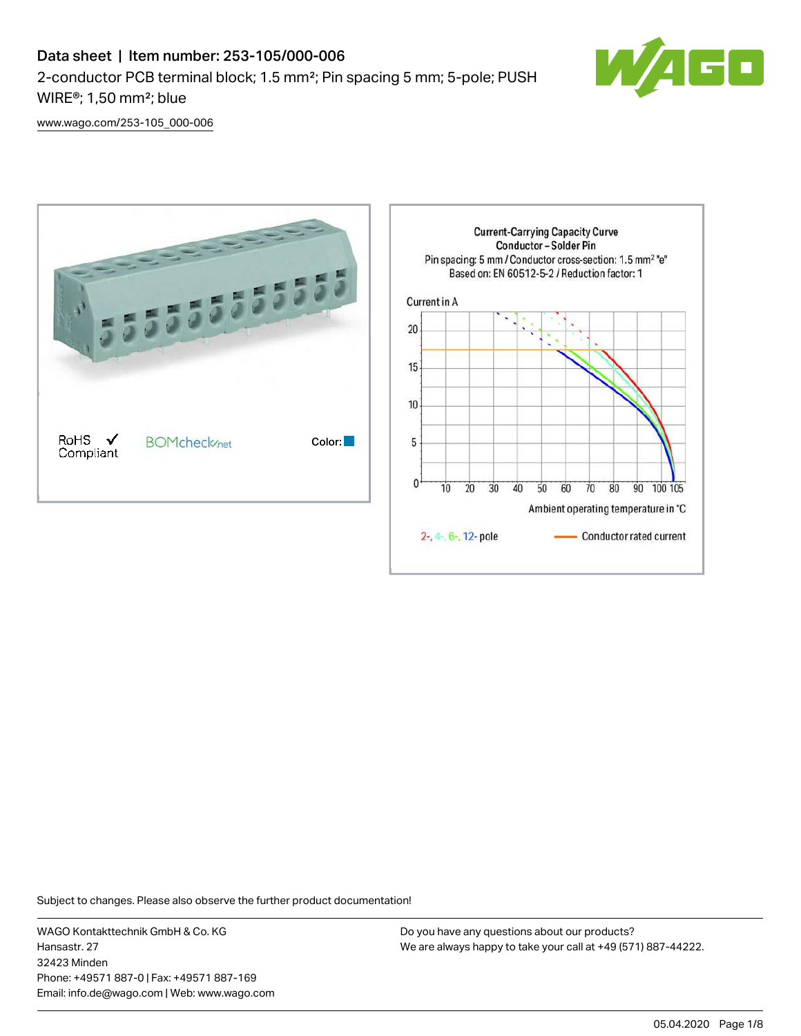# Data sheet | Item number: 253-105/000-006 2-conductor PCB terminal block; 1.5 mm²; Pin spacing 5 mm; 5-pole; PUSH WIRE®; 1,50 mm²; blue



[www.wago.com/253-105\\_000-006](http://www.wago.com/253-105_000-006)



Subject to changes. Please also observe the further product documentation!

WAGO Kontakttechnik GmbH & Co. KG Hansastr. 27 32423 Minden Phone: +49571 887-0 | Fax: +49571 887-169 Email: info.de@wago.com | Web: www.wago.com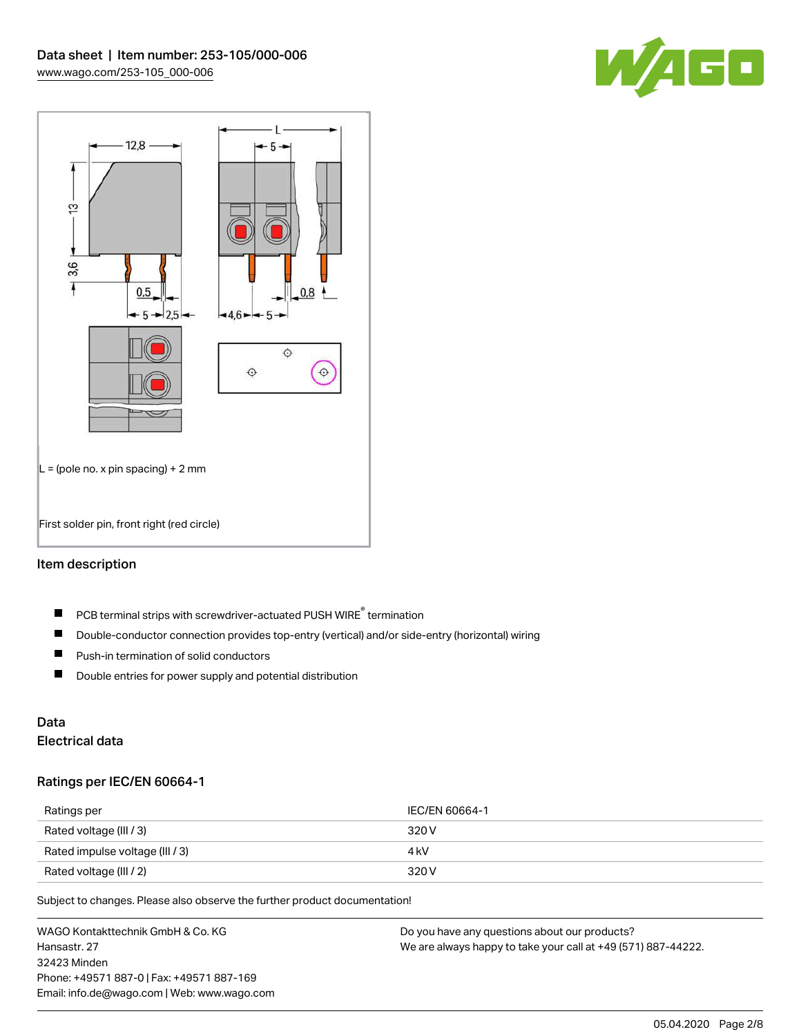



# Item description

- PCB terminal strips with screwdriver-actuated PUSH WIRE® termination  $\blacksquare$
- $\blacksquare$ Double-conductor connection provides top-entry (vertical) and/or side-entry (horizontal) wiring
- $\blacksquare$ Push-in termination of solid conductors
- $\blacksquare$ Double entries for power supply and potential distribution

# Data

# Electrical data

## Ratings per IEC/EN 60664-1

| Ratings per                     | IEC/EN 60664-1 |
|---------------------------------|----------------|
| Rated voltage (III / 3)         | 320 V          |
| Rated impulse voltage (III / 3) | 4 kV           |
| Rated voltage (III / 2)         | 320 V          |

Subject to changes. Please also observe the further product documentation!

WAGO Kontakttechnik GmbH & Co. KG Hansastr. 27 32423 Minden Phone: +49571 887-0 | Fax: +49571 887-169 Email: info.de@wago.com | Web: www.wago.com Do you have any questions about our products? We are always happy to take your call at +49 (571) 887-44222.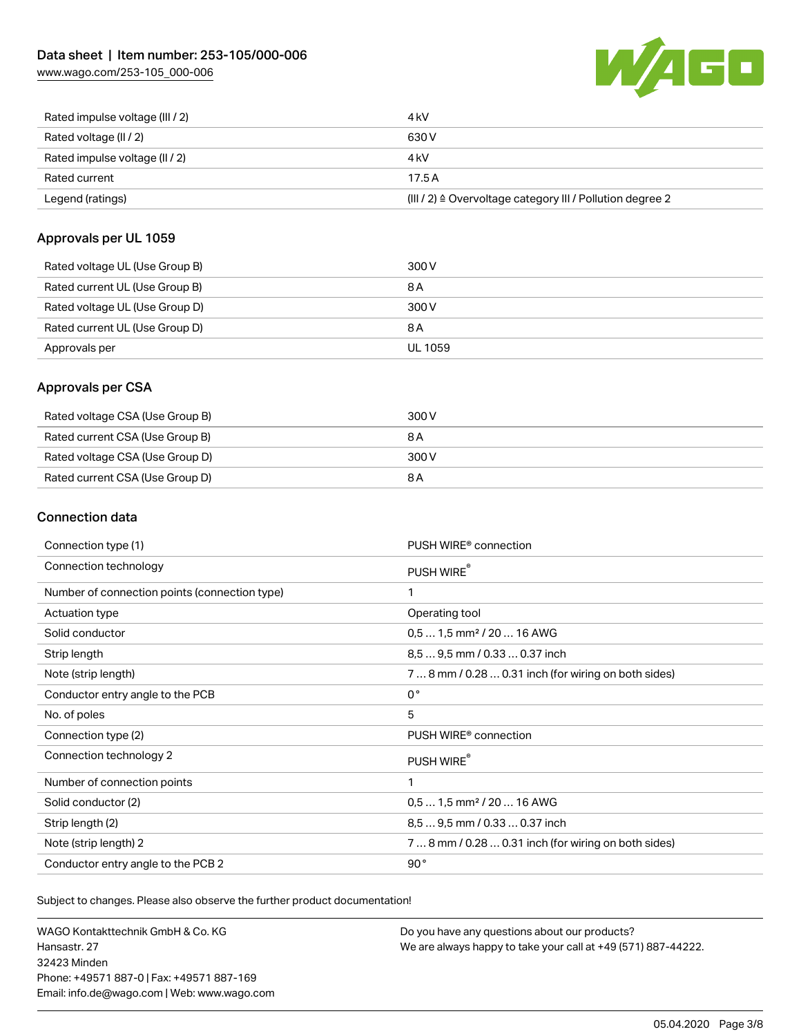[www.wago.com/253-105\\_000-006](http://www.wago.com/253-105_000-006)



| Rated impulse voltage (III / 2) | 4 kV                                                      |
|---------------------------------|-----------------------------------------------------------|
| Rated voltage (II / 2)          | 630 V                                                     |
| Rated impulse voltage (II / 2)  | 4 kV                                                      |
| Rated current                   | 17.5A                                                     |
| Legend (ratings)                | (III / 2) ≙ Overvoltage category III / Pollution degree 2 |

## Approvals per UL 1059

| Rated voltage UL (Use Group B) | 300 V   |
|--------------------------------|---------|
| Rated current UL (Use Group B) | 8 A     |
| Rated voltage UL (Use Group D) | 300 V   |
| Rated current UL (Use Group D) | 8 A     |
| Approvals per                  | UL 1059 |

## Approvals per CSA

| Rated voltage CSA (Use Group B) | 300 V |
|---------------------------------|-------|
| Rated current CSA (Use Group B) | 8 A   |
| Rated voltage CSA (Use Group D) | 300 V |
| Rated current CSA (Use Group D) | 8 A   |

# Connection data

| Connection type (1)                           | PUSH WIRE <sup>®</sup> connection                    |
|-----------------------------------------------|------------------------------------------------------|
| Connection technology                         | PUSH WIRE®                                           |
| Number of connection points (connection type) | $\mathbf{1}$                                         |
| Actuation type                                | Operating tool                                       |
| Solid conductor                               | $0.51.5$ mm <sup>2</sup> / 20  16 AWG                |
| Strip length                                  | 8.5  9.5 mm / 0.33  0.37 inch                        |
| Note (strip length)                           | 7  8 mm / 0.28  0.31 inch (for wiring on both sides) |
| Conductor entry angle to the PCB              | $0^{\circ}$                                          |
| No. of poles                                  | 5                                                    |
| Connection type (2)                           | PUSH WIRE <sup>®</sup> connection                    |
| Connection technology 2                       | PUSH WIRE®                                           |
| Number of connection points                   | 1                                                    |
| Solid conductor (2)                           | $0.51.5$ mm <sup>2</sup> / 20  16 AWG                |
| Strip length (2)                              | 8.5  9.5 mm / 0.33  0.37 inch                        |
| Note (strip length) 2                         | 7  8 mm / 0.28  0.31 inch (for wiring on both sides) |
| Conductor entry angle to the PCB 2            | 90°                                                  |

Subject to changes. Please also observe the further product documentation!

WAGO Kontakttechnik GmbH & Co. KG Hansastr. 27 32423 Minden Phone: +49571 887-0 | Fax: +49571 887-169 Email: info.de@wago.com | Web: www.wago.com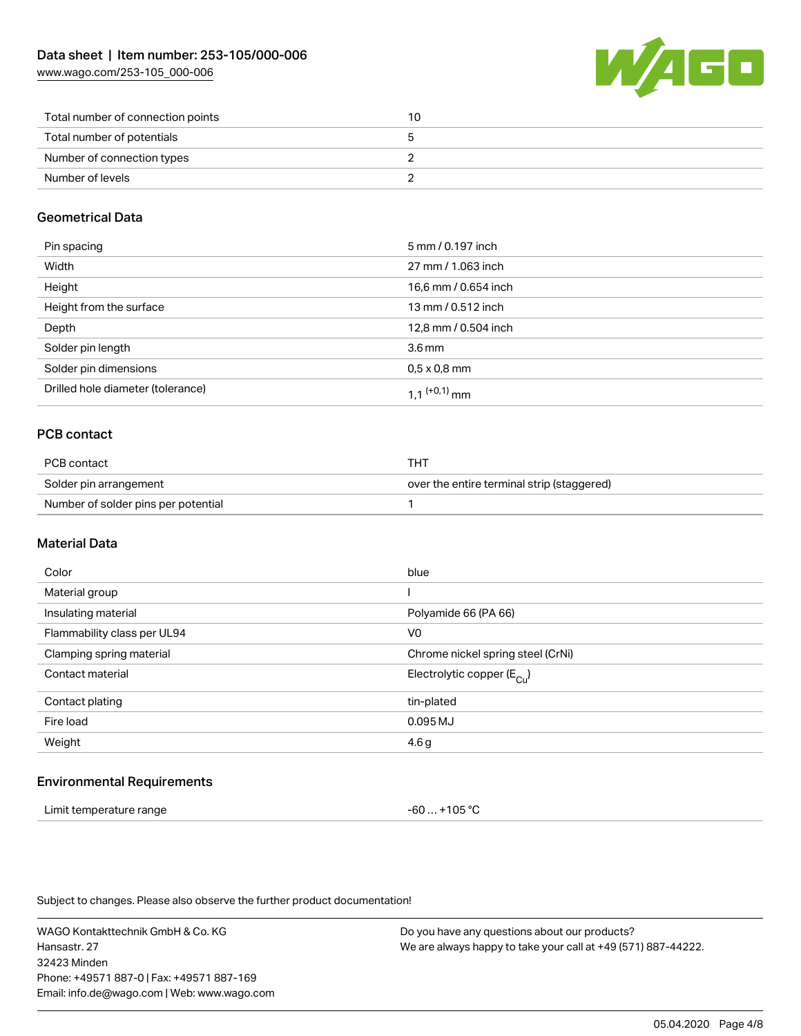[www.wago.com/253-105\\_000-006](http://www.wago.com/253-105_000-006)



| Total number of connection points | 10 |
|-----------------------------------|----|
| Total number of potentials        |    |
| Number of connection types        |    |
| Number of levels                  |    |

## Geometrical Data

| Pin spacing                       | 5 mm / 0.197 inch          |
|-----------------------------------|----------------------------|
| Width                             | 27 mm / 1.063 inch         |
| Height                            | 16,6 mm / 0.654 inch       |
| Height from the surface           | 13 mm / 0.512 inch         |
| Depth                             | 12,8 mm / 0.504 inch       |
| Solder pin length                 | $3.6 \,\mathrm{mm}$        |
| Solder pin dimensions             | $0.5 \times 0.8$ mm        |
| Drilled hole diameter (tolerance) | $1.1$ <sup>(+0,1)</sup> mm |

# PCB contact

| PCB contact                         | THT                                        |
|-------------------------------------|--------------------------------------------|
| Solder pin arrangement              | over the entire terminal strip (staggered) |
| Number of solder pins per potential |                                            |

## Material Data

| Color                       | blue                                  |
|-----------------------------|---------------------------------------|
| Material group              |                                       |
| Insulating material         | Polyamide 66 (PA 66)                  |
| Flammability class per UL94 | V <sub>0</sub>                        |
| Clamping spring material    | Chrome nickel spring steel (CrNi)     |
| Contact material            | Electrolytic copper $(E_{\text{Cl}})$ |
| Contact plating             | tin-plated                            |
| Fire load                   | 0.095 MJ                              |
| Weight                      | 4.6g                                  |
|                             |                                       |

## Environmental Requirements

| Limit temperature range | -60  +105 °C |
|-------------------------|--------------|
|-------------------------|--------------|

Subject to changes. Please also observe the further product documentation!

WAGO Kontakttechnik GmbH & Co. KG Hansastr. 27 32423 Minden Phone: +49571 887-0 | Fax: +49571 887-169 Email: info.de@wago.com | Web: www.wago.com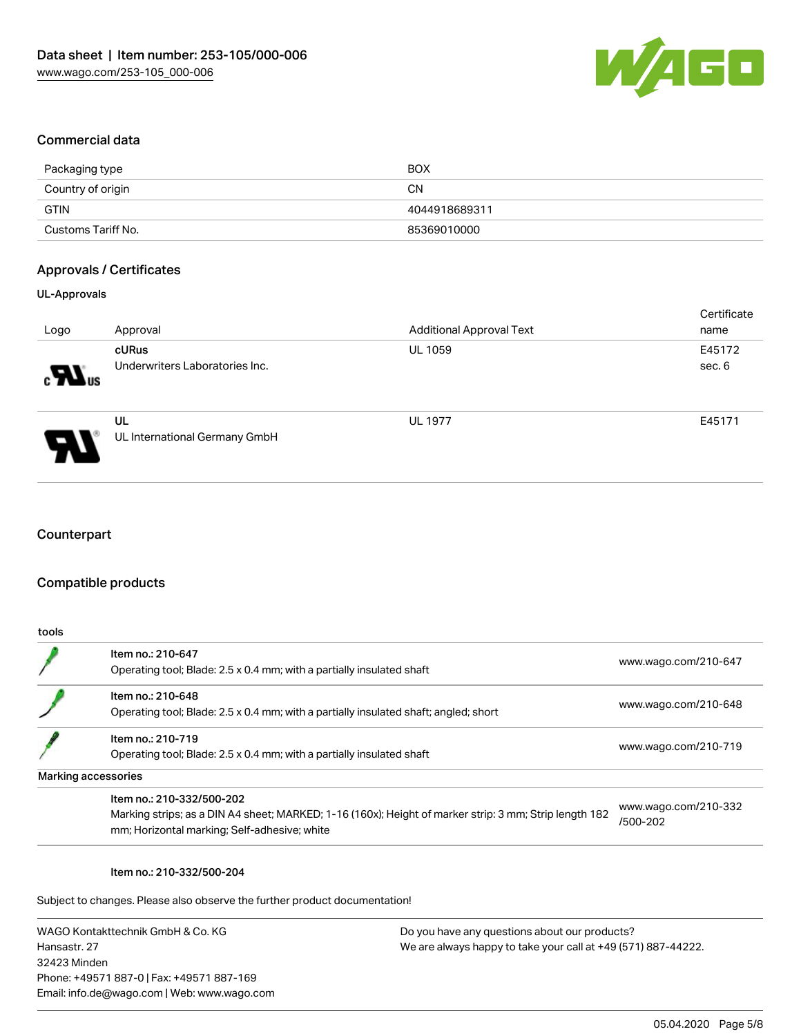

### Commercial data

| Packaging type     | <b>BOX</b>    |
|--------------------|---------------|
| Country of origin  | CΝ            |
| GTIN               | 4044918689311 |
| Customs Tariff No. | 85369010000   |

## Approvals / Certificates

### UL-Approvals

| Logo                                     | Approval                                | <b>Additional Approval Text</b> | Certificate<br>name |
|------------------------------------------|-----------------------------------------|---------------------------------|---------------------|
| $\boldsymbol{\mathcal{H}}$ <sub>us</sub> | cURus<br>Underwriters Laboratories Inc. | <b>UL 1059</b>                  | E45172<br>sec. 6    |
| Э                                        | UL<br>UL International Germany GmbH     | <b>UL 1977</b>                  | E45171              |

# **Counterpart**

## Compatible products

| tools |                                                                                                                                                                                     |                                  |
|-------|-------------------------------------------------------------------------------------------------------------------------------------------------------------------------------------|----------------------------------|
|       | Item no.: 210-647<br>Operating tool; Blade: 2.5 x 0.4 mm; with a partially insulated shaft                                                                                          | www.wago.com/210-647             |
|       | Item no.: 210-648<br>Operating tool; Blade: 2.5 x 0.4 mm; with a partially insulated shaft; angled; short                                                                           | www.wago.com/210-648             |
|       | Item no.: 210-719<br>Operating tool; Blade: 2.5 x 0.4 mm; with a partially insulated shaft                                                                                          | www.wago.com/210-719             |
|       | Marking accessories                                                                                                                                                                 |                                  |
|       | Item no.: 210-332/500-202<br>Marking strips; as a DIN A4 sheet; MARKED; 1-16 (160x); Height of marker strip: 3 mm; Strip length 182<br>mm; Horizontal marking; Self-adhesive; white | www.wago.com/210-332<br>/500-202 |

#### Item no.: 210-332/500-204

Subject to changes. Please also observe the further product documentation!

WAGO Kontakttechnik GmbH & Co. KG Hansastr. 27 32423 Minden Phone: +49571 887-0 | Fax: +49571 887-169 Email: info.de@wago.com | Web: www.wago.com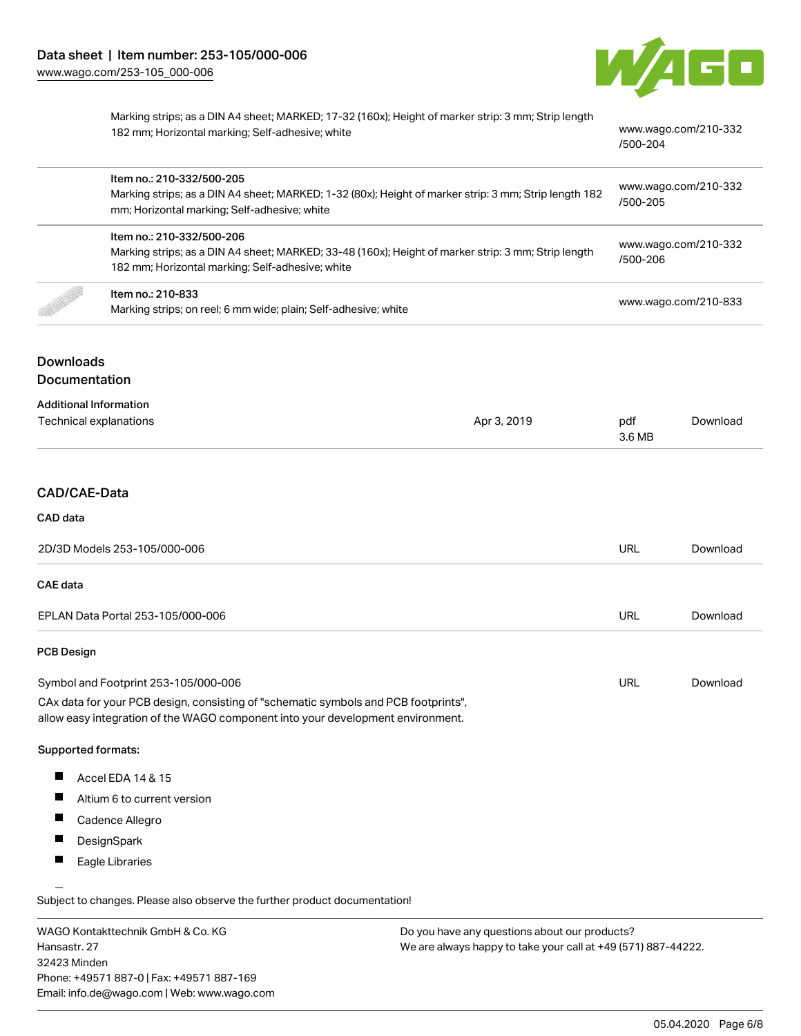

[www.wago.com/210-332](http://www.wago.com/210-332/500-204)

[/500-204](http://www.wago.com/210-332/500-204)

| Marking strips; as a DIN A4 sheet; MARKED; 17-32 (160x); Height of marker strip: 3 mm; Strip length |  |
|-----------------------------------------------------------------------------------------------------|--|
| 182 mm; Horizontal marking; Self-adhesive; white                                                    |  |

| Item no.: 210-332/500-205<br>Marking strips; as a DIN A4 sheet; MARKED; 1-32 (80x); Height of marker strip: 3 mm; Strip length 182<br>mm; Horizontal marking; Self-adhesive; white   | www.wago.com/210-332<br>/500-205 |
|--------------------------------------------------------------------------------------------------------------------------------------------------------------------------------------|----------------------------------|
| Item no.: 210-332/500-206<br>Marking strips; as a DIN A4 sheet; MARKED; 33-48 (160x); Height of marker strip: 3 mm; Strip length<br>182 mm; Horizontal marking; Self-adhesive; white | www.wago.com/210-332<br>/500-206 |
| Item no.: 210-833<br>Marking strips; on reel; 6 mm wide; plain; Self-adhesive; white                                                                                                 | www.wago.com/210-833             |

# Downloads Documentation

#### Additional Information

| Technical explanations | Apr 3, 2019 | pdf    | Download |
|------------------------|-------------|--------|----------|
|                        |             | 3.6 MB |          |
|                        |             |        |          |

# CAD/CAE-Data

#### CAD data

| 2D/3D Models 253-105/000-006         |     | Download |
|--------------------------------------|-----|----------|
| <b>CAE data</b>                      |     |          |
| EPLAN Data Portal 253-105/000-006    | URL | Download |
| <b>PCB Design</b>                    |     |          |
| Symbol and Footprint 253-105/000-006 | URL | Download |

CAx data for your PCB design, consisting of "schematic symbols and PCB footprints", allow easy integration of the WAGO component into your development environment.

#### Supported formats:

- $\blacksquare$ Accel EDA 14 & 15
- $\blacksquare$ Altium 6 to current version
- $\blacksquare$ Cadence Allegro
- $\blacksquare$ DesignSpark
- П Eagle Libraries

Subject to changes. Please also observe the further product documentation!

WAGO Kontakttechnik GmbH & Co. KG Hansastr. 27 32423 Minden Phone: +49571 887-0 | Fax: +49571 887-169 Email: info.de@wago.com | Web: www.wago.com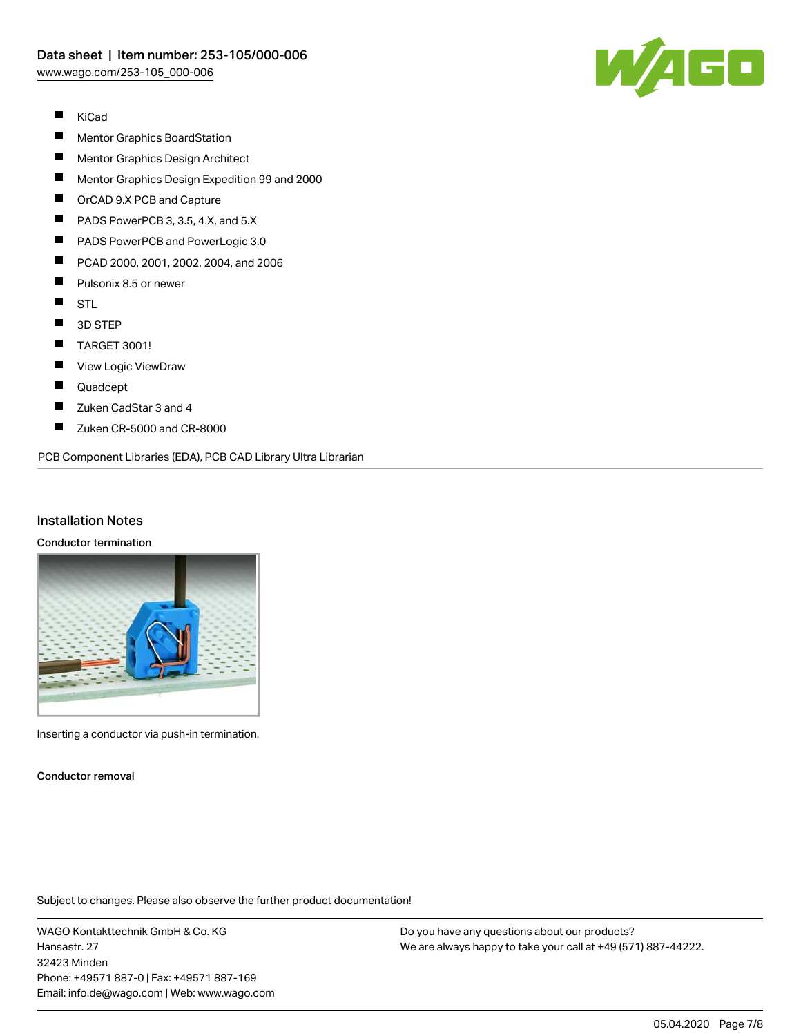

- $\blacksquare$ KiCad
- $\blacksquare$ Mentor Graphics BoardStation
- $\blacksquare$ Mentor Graphics Design Architect
- $\blacksquare$ Mentor Graphics Design Expedition 99 and 2000
- П OrCAD 9.X PCB and Capture
- П PADS PowerPCB 3, 3.5, 4.X, and 5.X
- П PADS PowerPCB and PowerLogic 3.0
- $\blacksquare$ PCAD 2000, 2001, 2002, 2004, and 2006
- $\blacksquare$ Pulsonix 8.5 or newer
- $\blacksquare$ STL
- $\blacksquare$ 3D STEP
- $\blacksquare$ TARGET 3001!
- $\blacksquare$ View Logic ViewDraw
- $\blacksquare$ Quadcept
- П Zuken CadStar 3 and 4
- $\blacksquare$ Zuken CR-5000 and CR-8000

PCB Component Libraries (EDA), PCB CAD Library Ultra Librarian

## Installation Notes

#### Conductor termination



Inserting a conductor via push-in termination.

Conductor removal

Subject to changes. Please also observe the further product documentation!

WAGO Kontakttechnik GmbH & Co. KG Hansastr. 27 32423 Minden Phone: +49571 887-0 | Fax: +49571 887-169 Email: info.de@wago.com | Web: www.wago.com